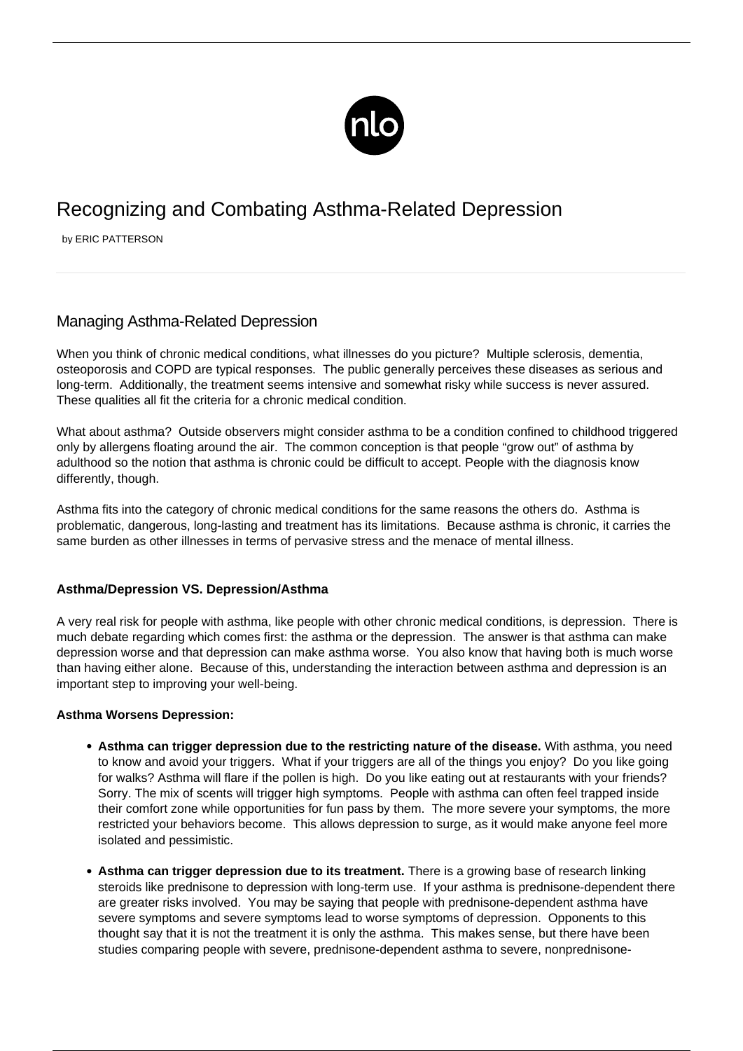

# Recognizing and Combating Asthma-Related Depression

by ERIC PATTERSON

# Managing Asthma-Related Depression

When you think of chronic medical conditions, what illnesses do you picture? Multiple sclerosis, dementia, osteoporosis and COPD are typical responses. The public generally perceives these diseases as serious and long-term. Additionally, the treatment seems intensive and somewhat risky while success is never assured. These qualities all fit the criteria for a chronic medical condition.

What about asthma? Outside observers might consider asthma to be a condition confined to childhood triggered only by allergens floating around the air. The common conception is that people "grow out" of asthma by adulthood so the notion that asthma is chronic could be difficult to accept. People with the diagnosis know differently, though.

Asthma fits into the category of chronic medical conditions for the same reasons the others do. Asthma is problematic, dangerous, long-lasting and treatment has its limitations. Because asthma is chronic, it carries the same burden as other illnesses in terms of pervasive stress and the menace of mental illness.

## **Asthma/Depression VS. Depression/Asthma**

A very real risk for people with asthma, like people with other chronic medical conditions, is depression. There is much debate regarding which comes first: the asthma or the depression. The answer is that asthma can make depression worse and that depression can make asthma worse. You also know that having both is much worse than having either alone. Because of this, understanding the interaction between asthma and depression is an important step to improving your well-being.

#### **Asthma Worsens Depression:**

- **Asthma can trigger depression due to the restricting nature of the disease.** With asthma, you need to know and avoid your triggers. What if your triggers are all of the things you enjoy? Do you like going for walks? Asthma will flare if the pollen is high. Do you like eating out at restaurants with your friends? Sorry. The mix of scents will trigger high symptoms. People with asthma can often feel trapped inside their comfort zone while opportunities for fun pass by them. The more severe your [symptoms](/symptoms-asthma/), the more restricted your behaviors become. This allows depression to surge, as it would make anyone feel more isolated and pessimistic.
- **Asthma can trigger depression due to its treatment.** There is a growing base of research linking steroids like prednisone to depression with long-term use. If your asthma is prednisone-dependent there are greater risks involved. You may be saying that people with prednisone-dependent asthma have severe symptoms and severe symptoms lead to worse symptoms of depression. Opponents to this thought say that it is not the treatment it is only the asthma. This makes sense, but there have been studies comparing people with severe, prednisone-dependent asthma to severe, nonprednisone-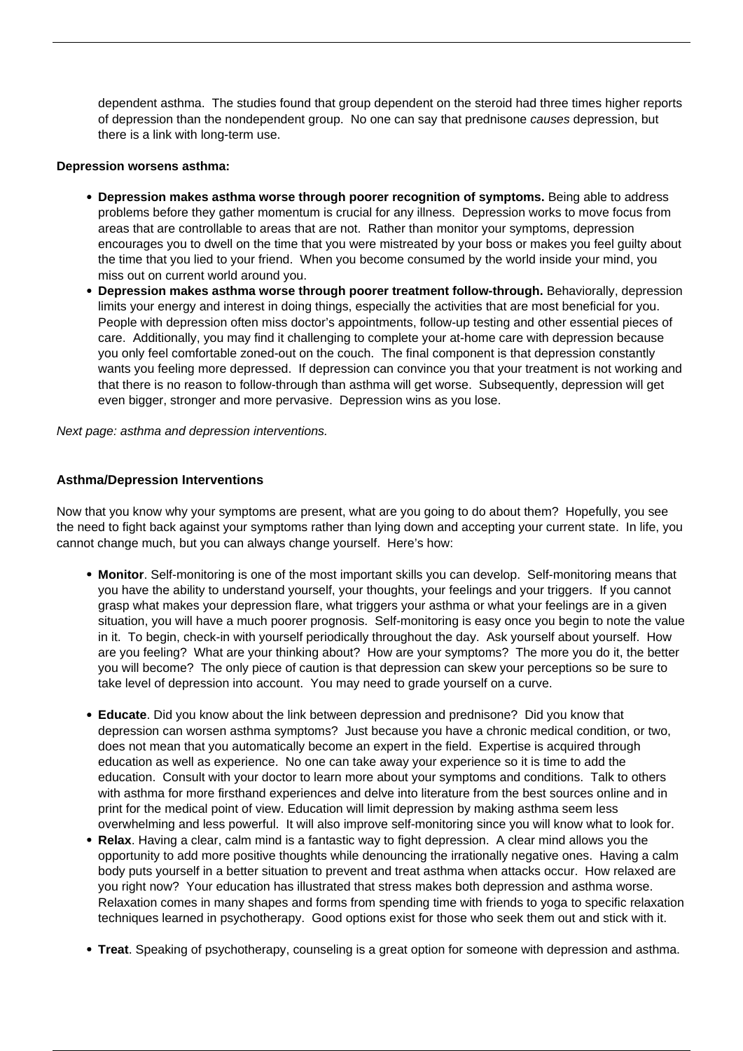dependent asthma. The studies found that group dependent on the steroid had three times higher reports of depression than the nondependent group. No one can say that prednisone causes depression, but there is a link with long-term use.

#### **Depression worsens asthma:**

- **Depression makes asthma worse through poorer recognition of symptoms.** Being able to address problems before they gather momentum is crucial for any illness. Depression works to move focus from areas that are controllable to areas that are not. Rather than monitor your symptoms, depression encourages you to dwell on the time that you were mistreated by your boss or makes you feel guilty about the time that you lied to your friend. When you become consumed by the world inside your mind, you miss out on current world around you.
- **Depression makes asthma worse through poorer treatment follow-through.** Behaviorally, depression limits your energy and interest in doing things, especially the activities that are most beneficial for you. People with depression often miss doctor's appointments, follow-up testing and other essential pieces of care. Additionally, you may find it challenging to complete your at-home care with depression because you only feel comfortable zoned-out on the couch. The final component is that depression constantly wants you feeling more depressed. If depression can convince you that your treatment is not working and that there is no reason to follow-through than asthma will get worse. Subsequently, depression will get even bigger, stronger and more pervasive. Depression wins as you lose.

Next page: asthma and depression interventions.

### **Asthma/Depression Interventions**

Now that you know why your symptoms are present, what are you going to do about them? Hopefully, you see the need to fight back against your symptoms rather than lying down and accepting your current state. In life, you cannot change much, but you can always change yourself. Here's how:

- **Monitor**. Self-monitoring is one of the most important skills you can develop. Self-monitoring means that you have the ability to understand yourself, your thoughts, your feelings and your triggers. If you cannot grasp what makes your depression flare, what triggers your asthma or what your feelings are in a given situation, you will have a much poorer prognosis. Self-monitoring is easy once you begin to note the value in it. To begin, check-in with yourself periodically throughout the day. Ask yourself about yourself. How are you feeling? What are your thinking about? How are your symptoms? The more you do it, the better you will become? The only piece of caution is that depression can skew your perceptions so be sure to take level of depression into account. You may need to grade yourself on a curve.
- **Educate**. Did you know about the link between depression and prednisone? Did you know that depression can worsen asthma symptoms? Just because you have a chronic medical condition, or two, does not mean that you automatically become an expert in the field. Expertise is acquired through education as well as experience. No one can take away your experience so it is time to add the education. Consult with your doctor to learn more about your symptoms and conditions. Talk to others with asthma for more firsthand experiences and delve into literature from the best sources online and in print for the medical point of view. Education will limit depression by making asthma seem less overwhelming and less powerful. It will also improve self-monitoring since you will know what to look for.
- **Relax**. Having a clear, calm mind is a fantastic way to fight depression. A clear mind allows you the opportunity to add more positive thoughts while denouncing the irrationally negative ones. Having a calm body puts yourself in a better situation to prevent and treat asthma when attacks occur. How relaxed are you right now? Your education has illustrated that stress makes both depression and asthma worse. Relaxation comes in many shapes and forms from spending time with friends to yoga to specific relaxation techniques learned in psychotherapy. Good options exist for those who seek them out and stick with it.
- **Treat**. Speaking of psychotherapy, counseling is a great option for someone with depression and asthma.